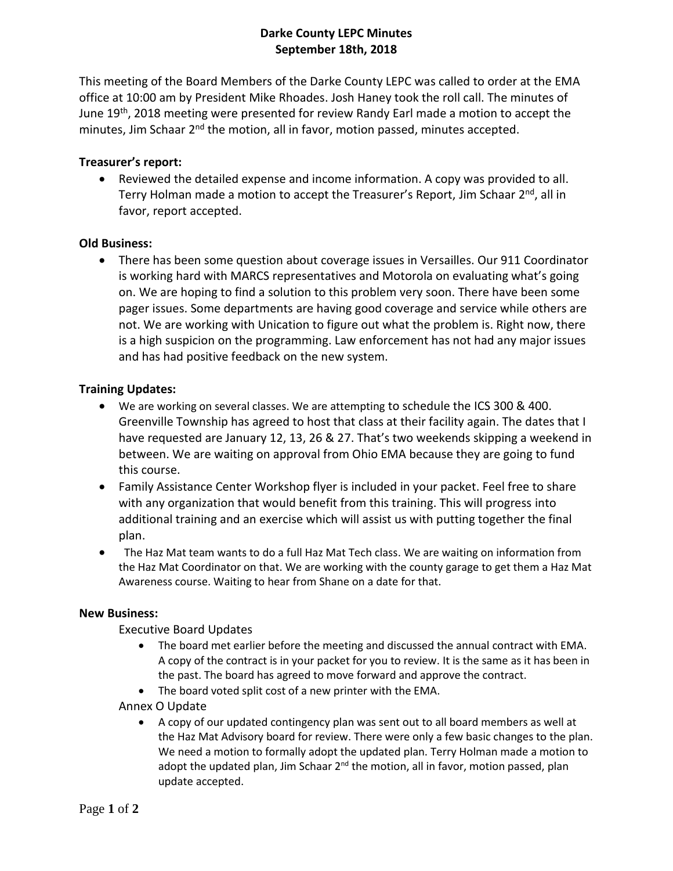# **Darke County LEPC Minutes September 18th, 2018**

This meeting of the Board Members of the Darke County LEPC was called to order at the EMA office at 10:00 am by President Mike Rhoades. Josh Haney took the roll call. The minutes of June 19<sup>th</sup>, 2018 meeting were presented for review Randy Earl made a motion to accept the minutes, Jim Schaar 2<sup>nd</sup> the motion, all in favor, motion passed, minutes accepted.

### **Treasurer's report:**

 Reviewed the detailed expense and income information. A copy was provided to all. Terry Holman made a motion to accept the Treasurer's Report, Jim Schaar 2<sup>nd</sup>, all in favor, report accepted.

### **Old Business:**

 There has been some question about coverage issues in Versailles. Our 911 Coordinator is working hard with MARCS representatives and Motorola on evaluating what's going on. We are hoping to find a solution to this problem very soon. There have been some pager issues. Some departments are having good coverage and service while others are not. We are working with Unication to figure out what the problem is. Right now, there is a high suspicion on the programming. Law enforcement has not had any major issues and has had positive feedback on the new system.

### **Training Updates:**

- We are working on several classes. We are attempting to schedule the ICS 300 & 400. Greenville Township has agreed to host that class at their facility again. The dates that I have requested are January 12, 13, 26 & 27. That's two weekends skipping a weekend in between. We are waiting on approval from Ohio EMA because they are going to fund this course.
- Family Assistance Center Workshop flyer is included in your packet. Feel free to share with any organization that would benefit from this training. This will progress into additional training and an exercise which will assist us with putting together the final plan.
- The Haz Mat team wants to do a full Haz Mat Tech class. We are waiting on information from the Haz Mat Coordinator on that. We are working with the county garage to get them a Haz Mat Awareness course. Waiting to hear from Shane on a date for that.

#### **New Business:**

Executive Board Updates

- The board met earlier before the meeting and discussed the annual contract with EMA. A copy of the contract is in your packet for you to review. It is the same as it has been in the past. The board has agreed to move forward and approve the contract.
- The board voted split cost of a new printer with the EMA.

Annex O Update

 A copy of our updated contingency plan was sent out to all board members as well at the Haz Mat Advisory board for review. There were only a few basic changes to the plan. We need a motion to formally adopt the updated plan. Terry Holman made a motion to adopt the updated plan, Jim Schaar 2<sup>nd</sup> the motion, all in favor, motion passed, plan update accepted.